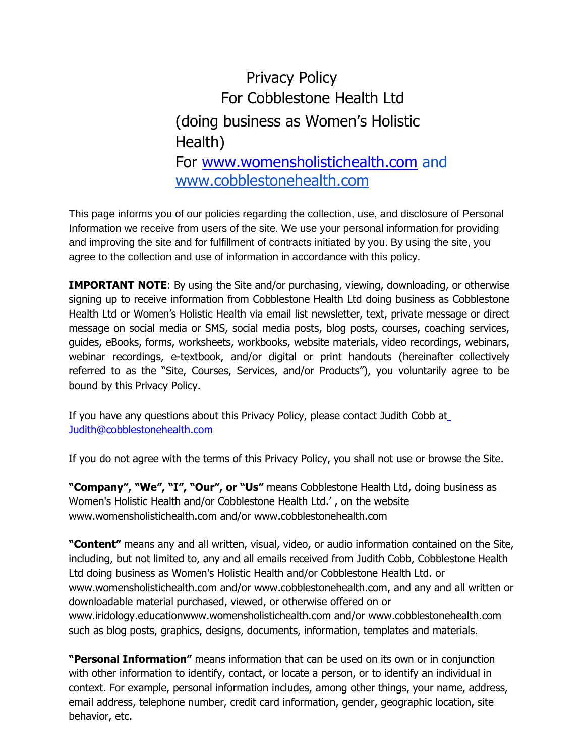## Privacy Policy For Cobblestone Health Ltd (doing business as Women's Holistic Health) For [www.womensholistichealth.com](http://www.womensholistichealth.com/) and www.cobblestonehealth.com

This page informs you of our policies regarding the collection, use, and disclosure of Personal Information we receive from users of the site. We use your personal information for providing and improving the site and for fulfillment of contracts initiated by you. By using the site, you agree to the collection and use of information in accordance with this policy.

**IMPORTANT NOTE**: By using the Site and/or purchasing, viewing, downloading, or otherwise signing up to receive information from Cobblestone Health Ltd doing business as Cobblestone Health Ltd or Women's Holistic Health via email list newsletter, text, private message or direct message on social media or SMS, social media posts, blog posts, courses, coaching services, guides, eBooks, forms, worksheets, workbooks, website materials, video recordings, webinars, webinar recordings, e-textbook, and/or digital or print handouts (hereinafter collectively referred to as the "Site, Courses, Services, and/or Products"), you voluntarily agree to be bound by this Privacy Policy.

If you have any questions about this Privacy Policy, please contact Judith Cobb a[t](mailto:%20Judith@cobblestonehealth.com) [Judith@cobblestonehealth.com](mailto:%20Judith@cobblestonehealth.com)

If you do not agree with the terms of this Privacy Policy, you shall not use or browse the Site.

**"Company", "We", "I", "Our", or "Us"** means Cobblestone Health Ltd, doing business as Women's Holistic Health and/or Cobblestone Health Ltd.' , on the website www.womensholistichealth.com and/or www.cobblestonehealth.com

**"Content"** means any and all written, visual, video, or audio information contained on the Site, including, but not limited to, any and all emails received from Judith Cobb, Cobblestone Health Ltd doing business as Women's Holistic Health and/or Cobblestone Health Ltd. or www.womensholistichealth.com and/or www.cobblestonehealth.com, and any and all written or downloadable material purchased, viewed, or otherwise offered on or [www.iridology.educationwww.womensholistichealth.com and/or www.cobblestonehealth.com](http://www.iridology.education/) such as blog posts, graphics, designs, documents, information, templates and materials.

**"Personal Information"** means information that can be used on its own or in conjunction with other information to identify, contact, or locate a person, or to identify an individual in context. For example, personal information includes, among other things, your name, address, email address, telephone number, credit card information, gender, geographic location, site behavior, etc.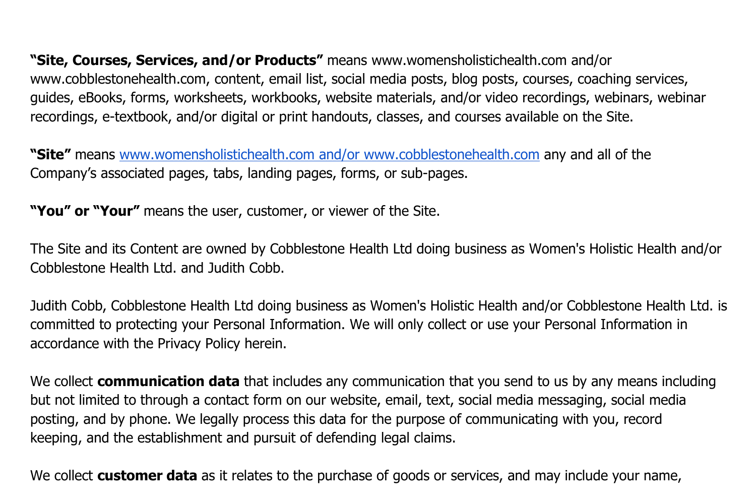**"Site, Courses, Services, and/or Products"** means [www.womensholistichealth.com and/or](http://www.confidentnutritionist.com/)  [www.cobblestonehealth.com, c](http://www.confidentnutritionist.com/)ontent, email list, social media posts, blog posts, courses, coaching services, guides, eBooks, forms, worksheets, workbooks, website materials, and/or video recordings, webinars, webinar recordings, e-textbook, and/or digital or print handouts, classes, and courses available on the Site.

**"Site"** means [www.womensholistichealth.com and/or www.cobblestonehealth.com](http://www.confidentnutritionist.com/) any and all of the Company's associated pages, tabs, landing pages, forms, or sub-pages.

**"You" or "Your"** means the user, customer, or viewer of the Site.

The Site and its Content are owned by Cobblestone Health Ltd doing business as Women's Holistic Health and/or Cobblestone Health Ltd. and Judith Cobb.

Judith Cobb, Cobblestone Health Ltd doing business as Women's Holistic Health and/or Cobblestone Health Ltd. is committed to protecting your Personal Information. We will only collect or use your Personal Information in accordance with the Privacy Policy herein.

We collect **communication data** that includes any communication that you send to us by any means including but not limited to through a contact form on our website, email, text, social media messaging, social media posting, and by phone. We legally process this data for the purpose of communicating with you, record keeping, and the establishment and pursuit of defending legal claims.

We collect **customer data** as it relates to the purchase of goods or services, and may include your name,